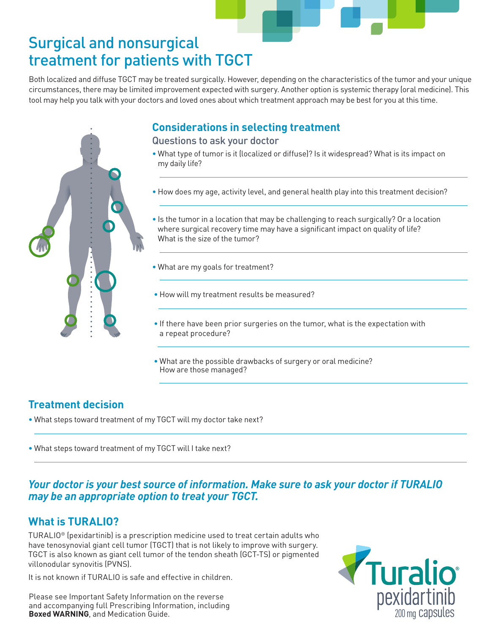## Surgical and nonsurgical treatment for patients with TGCT

Both localized and diffuse TGCT may be treated surgically. However, depending on the characteristics of the tumor and your unique circumstances, there may be limited improvement expected with surgery. Another option is systemic therapy (oral medicine). This tool may help you talk with your doctors and loved ones about which treatment approach may be best for you at this time.



## **Considerations in selecting treatment**

### Questions to ask your doctor

- What type of tumor is it (localized or diffuse)? Is it widespread? What is its impact on my daily life?
- How does my age, activity level, and general health play into this treatment decision?
- Is the tumor in a location that may be challenging to reach surgically? Or a location where surgical recovery time may have a significant impact on quality of life? What is the size of the tumor?
- What are my goals for treatment?
- How will my treatment results be measured?
- If there have been prior surgeries on the tumor, what is the expectation with a repeat procedure?
- What are the possible drawbacks of surgery or oral medicine? How are those managed?

### **Treatment decision**

- What steps toward treatment of my TGCT will my doctor take next?
- What steps toward treatment of my TGCT will I take next?

*Your doctor is your best source of information. Make sure to ask your doctor if TURALIO may be an appropriate option to treat your TGCT.*

## **What is TURALIO?**

TURALIO® (pexidartinib) is a prescription medicine used to treat certain adults who have tenosynovial giant cell tumor (TGCT) that is not likely to improve with surgery. TGCT is also known as giant cell tumor of the tendon sheath (GCT-TS) or pigmented villonodular synovitis (PVNS).

It is not known if TURALIO is safe and effective in children.

Please see Important Safety Information on the reverse and accompanying full Prescribing Information, including **Boxed WARNING**, and Medication Guide.